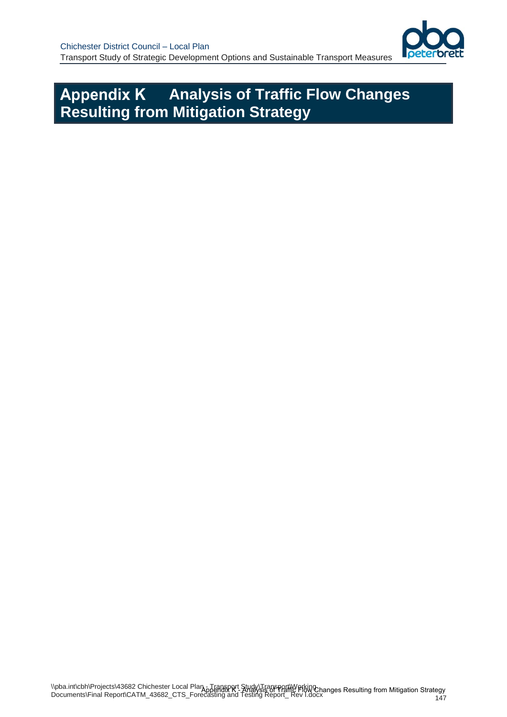

# **Appendix K Analysis of Traffic Flow Changes Resulting from Mitigation Strategy**

147 \\pba.int\cbh\Projects\43682 Chichester Local Plan - Transport Study\Transport\Working NPDA.InNCDINFTOJECIS(45002 CHICHESIEL LOCAL FRANCHMENT PRIMAGIS OF TRIMING FIGURES RESUlting from Mitigation Strategy<br>Documents\Final Report\CATM\_43682\_CTS\_Forecasting and Testing Report\_ Rev I.docx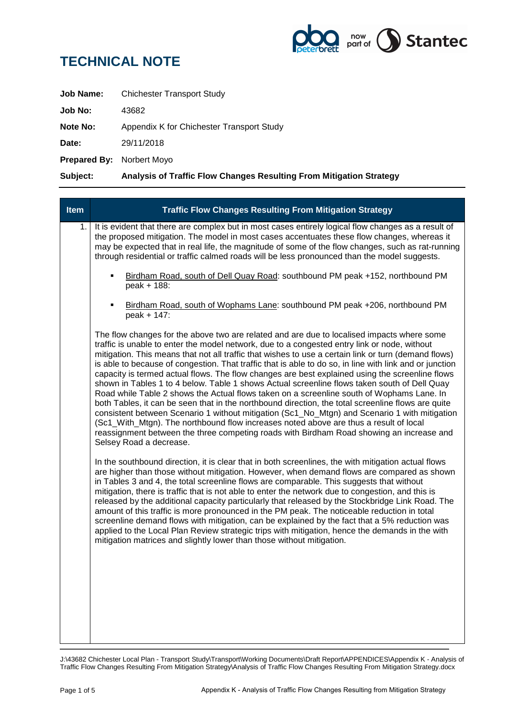

| Subject:                         | Analysis of Traffic Flow Changes Resulting From Mitigation Strategy |
|----------------------------------|---------------------------------------------------------------------|
| <b>Prepared By: Norbert Moyo</b> |                                                                     |
| Date:                            | 29/11/2018                                                          |
| <b>Note No:</b>                  | Appendix K for Chichester Transport Study                           |
| Job No:                          | 43682                                                               |
| Job Name:                        | <b>Chichester Transport Study</b>                                   |

| <b>Traffic Flow Changes Resulting From Mitigation Strategy</b>                                                                                                                                                                                                                                                                                                                                                                                                                                                                                                                                                                                                                                                                                                                                                                                                                                                                                                                                                                                                                                                                       |
|--------------------------------------------------------------------------------------------------------------------------------------------------------------------------------------------------------------------------------------------------------------------------------------------------------------------------------------------------------------------------------------------------------------------------------------------------------------------------------------------------------------------------------------------------------------------------------------------------------------------------------------------------------------------------------------------------------------------------------------------------------------------------------------------------------------------------------------------------------------------------------------------------------------------------------------------------------------------------------------------------------------------------------------------------------------------------------------------------------------------------------------|
| It is evident that there are complex but in most cases entirely logical flow changes as a result of<br>the proposed mitigation. The model in most cases accentuates these flow changes, whereas it<br>may be expected that in real life, the magnitude of some of the flow changes, such as rat-running<br>through residential or traffic calmed roads will be less pronounced than the model suggests.                                                                                                                                                                                                                                                                                                                                                                                                                                                                                                                                                                                                                                                                                                                              |
| Birdham Road, south of Dell Quay Road: southbound PM peak +152, northbound PM<br>٠<br>peak + 188:                                                                                                                                                                                                                                                                                                                                                                                                                                                                                                                                                                                                                                                                                                                                                                                                                                                                                                                                                                                                                                    |
| Birdham Road, south of Wophams Lane: southbound PM peak +206, northbound PM<br>peak + 147:                                                                                                                                                                                                                                                                                                                                                                                                                                                                                                                                                                                                                                                                                                                                                                                                                                                                                                                                                                                                                                           |
| The flow changes for the above two are related and are due to localised impacts where some<br>traffic is unable to enter the model network, due to a congested entry link or node, without<br>mitigation. This means that not all traffic that wishes to use a certain link or turn (demand flows)<br>is able to because of congestion. That traffic that is able to do so, in line with link and or junction<br>capacity is termed actual flows. The flow changes are best explained using the screenline flows<br>shown in Tables 1 to 4 below. Table 1 shows Actual screenline flows taken south of Dell Quay<br>Road while Table 2 shows the Actual flows taken on a screenline south of Wophams Lane. In<br>both Tables, it can be seen that in the northbound direction, the total screenline flows are quite<br>consistent between Scenario 1 without mitigation (Sc1_No_Mtgn) and Scenario 1 with mitigation<br>(Sc1_With_Mtgn). The northbound flow increases noted above are thus a result of local<br>reassignment between the three competing roads with Birdham Road showing an increase and<br>Selsey Road a decrease. |
| In the southbound direction, it is clear that in both screenlines, the with mitigation actual flows<br>are higher than those without mitigation. However, when demand flows are compared as shown<br>in Tables 3 and 4, the total screenline flows are comparable. This suggests that without<br>mitigation, there is traffic that is not able to enter the network due to congestion, and this is<br>released by the additional capacity particularly that released by the Stockbridge Link Road. The<br>amount of this traffic is more pronounced in the PM peak. The noticeable reduction in total<br>screenline demand flows with mitigation, can be explained by the fact that a 5% reduction was<br>applied to the Local Plan Review strategic trips with mitigation, hence the demands in the with<br>mitigation matrices and slightly lower than those without mitigation.                                                                                                                                                                                                                                                   |
|                                                                                                                                                                                                                                                                                                                                                                                                                                                                                                                                                                                                                                                                                                                                                                                                                                                                                                                                                                                                                                                                                                                                      |

J:\43682 Chichester Local Plan - Transport Study\Transport\Working Documents\Draft Report\APPENDICES\Appendix K - Analysis of Traffic Flow Changes Resulting From Mitigation Strategy\Analysis of Traffic Flow Changes Resulting From Mitigation Strategy.docx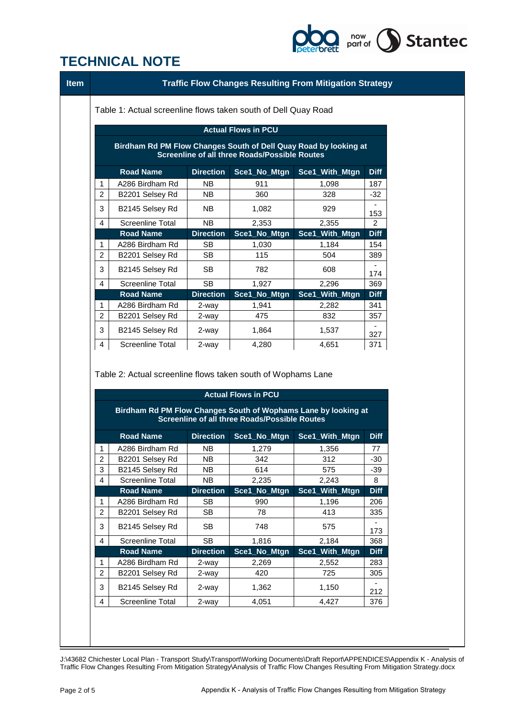

| Table 1: Actual screenline flows taken south of Dell Quay Road                                                                                         |                                                                                         |                  |                                                      |                                                                |             |
|--------------------------------------------------------------------------------------------------------------------------------------------------------|-----------------------------------------------------------------------------------------|------------------|------------------------------------------------------|----------------------------------------------------------------|-------------|
| <b>Actual Flows in PCU</b><br>Birdham Rd PM Flow Changes South of Dell Quay Road by looking at<br><b>Screenline of all three Roads/Possible Routes</b> |                                                                                         |                  |                                                      |                                                                |             |
|                                                                                                                                                        |                                                                                         |                  |                                                      |                                                                |             |
| 1                                                                                                                                                      | A286 Birdham Rd                                                                         | <b>NB</b>        | 911                                                  | 1,098                                                          | 187         |
| 2                                                                                                                                                      | B2201 Selsey Rd                                                                         | NΒ               | 360                                                  | 328                                                            | $-32$       |
| 3                                                                                                                                                      | B2145 Selsey Rd                                                                         | NB.              | 1,082                                                | 929                                                            |             |
| 4                                                                                                                                                      | <b>Screenline Total</b>                                                                 | <b>NB</b>        | 2,353                                                | 2,355                                                          | 153<br>2    |
|                                                                                                                                                        | <b>Road Name</b>                                                                        | <b>Direction</b> | Sce1_No_Mtgn                                         | Sce1_With_Mtgn                                                 | <b>Diff</b> |
| 1                                                                                                                                                      | A286 Birdham Rd                                                                         | <b>SB</b>        | 1,030                                                | 1,184                                                          | 154         |
| 2                                                                                                                                                      | B2201 Selsey Rd                                                                         | <b>SB</b>        | 115                                                  | 504                                                            | 389         |
|                                                                                                                                                        |                                                                                         |                  |                                                      |                                                                |             |
| 3                                                                                                                                                      | B2145 Selsey Rd                                                                         | SВ               | 782                                                  | 608                                                            | 174         |
| 4                                                                                                                                                      | <b>Screenline Total</b>                                                                 | <b>SB</b>        | 1,927                                                | 2,296                                                          | 369         |
|                                                                                                                                                        | <b>Road Name</b>                                                                        | <b>Direction</b> | Sce1_No_Mtgn                                         | Sce1_With_Mtgn                                                 | <b>Diff</b> |
| 1                                                                                                                                                      | A286 Birdham Rd                                                                         | 2-way            | 1,941                                                | 2,282                                                          | 341         |
| 2                                                                                                                                                      | B2201 Selsey Rd                                                                         | 2-way            | 475                                                  | 832                                                            | 357         |
|                                                                                                                                                        |                                                                                         |                  |                                                      |                                                                |             |
| 3                                                                                                                                                      | B2145 Selsey Rd                                                                         | 2-way            | 1,864                                                | 1,537                                                          | 327         |
| 4                                                                                                                                                      | <b>Screenline Total</b><br>Table 2: Actual screenline flows taken south of Wophams Lane | 2-way            | 4,280                                                | 4,651                                                          | 371         |
|                                                                                                                                                        |                                                                                         |                  | <b>Actual Flows in PCU</b>                           |                                                                |             |
|                                                                                                                                                        |                                                                                         |                  | <b>Screenline of all three Roads/Possible Routes</b> | Birdham Rd PM Flow Changes South of Wophams Lane by looking at |             |
|                                                                                                                                                        | <b>Road Name</b>                                                                        | <b>Direction</b> | Sce1_No_Mtgn                                         | Sce1_With_Mtgn                                                 | <b>Diff</b> |
| 1                                                                                                                                                      | A286 Birdham Rd                                                                         | NΒ               | 1,279                                                | 1,356                                                          | 77          |
| $\overline{\mathbf{c}}$                                                                                                                                | B2201 Selsey Rd                                                                         | <b>NB</b>        | 342                                                  | 312                                                            | $-30$       |
| 3                                                                                                                                                      | B2145 Selsey Rd                                                                         | <b>NB</b>        | 614                                                  | 575                                                            | -39         |
| 4                                                                                                                                                      | <b>Screenline Total</b>                                                                 | <b>NB</b>        | 2,235                                                | 2,243                                                          | 8           |
|                                                                                                                                                        | <b>Road Name</b>                                                                        | <b>Direction</b> | Sce1_No_Mtgn                                         | Sce1_With_Mtgn                                                 | <b>Diff</b> |
| 1                                                                                                                                                      | A286 Birdham Rd                                                                         | <b>SB</b>        | 990                                                  | 1,196                                                          | 206         |
| 2                                                                                                                                                      | B2201 Selsey Rd                                                                         | <b>SB</b>        | 78                                                   | 413                                                            | 335         |
| 3                                                                                                                                                      | B2145 Selsey Rd                                                                         | <b>SB</b>        | 748                                                  | 575                                                            | 173         |
| 4                                                                                                                                                      | <b>Screenline Total</b>                                                                 | <b>SB</b>        | 1,816                                                | 2,184                                                          | 368         |
|                                                                                                                                                        | <b>Road Name</b>                                                                        | <b>Direction</b> | Sce1_No_Mtgn                                         | Sce1_With_Mtgn                                                 | <b>Diff</b> |
| 1                                                                                                                                                      | A286 Birdham Rd                                                                         | 2-way            | 2,269                                                | 2,552                                                          | 283         |
| $\overline{c}$                                                                                                                                         | B2201 Selsey Rd                                                                         | 2-way            | 420                                                  | 725                                                            | 305         |
| 3                                                                                                                                                      | B2145 Selsey Rd                                                                         | 2-way            | 1,362                                                | 1,150                                                          | 212         |

J:\43682 Chichester Local Plan - Transport Study\Transport\Working Documents\Draft Report\APPENDICES\Appendix K - Analysis of Traffic Flow Changes Resulting From Mitigation Strategy\Analysis of Traffic Flow Changes Resulting From Mitigation Strategy.docx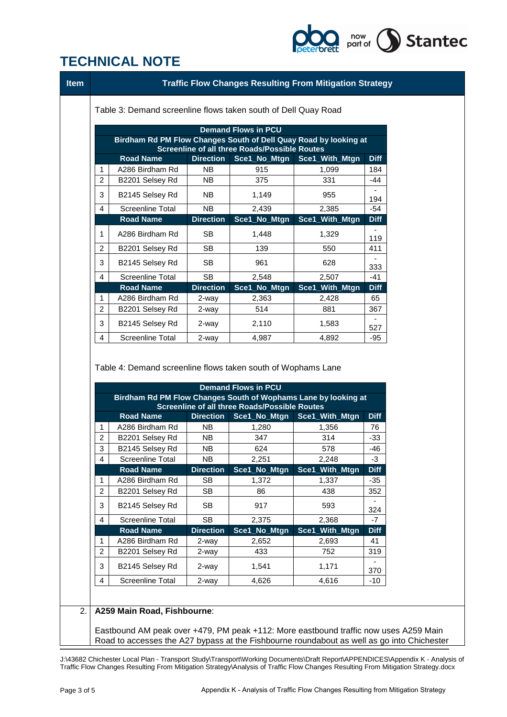

|                                                                                                                                                 | Table 3: Demand screenline flows taken south of Dell Quay Road                          |                           |                                                      | <b>Traffic Flow Changes Resulting From Mitigation Strategy</b> |                   |
|-------------------------------------------------------------------------------------------------------------------------------------------------|-----------------------------------------------------------------------------------------|---------------------------|------------------------------------------------------|----------------------------------------------------------------|-------------------|
|                                                                                                                                                 |                                                                                         |                           |                                                      |                                                                |                   |
| <b>Demand Flows in PCU</b><br>Birdham Rd PM Flow Changes South of Dell Quay Road by looking at<br>Screenline of all three Roads/Possible Routes |                                                                                         |                           |                                                      |                                                                |                   |
|                                                                                                                                                 | <b>Road Name</b>                                                                        | <b>Direction</b>          | Sce1_No_Mtgn                                         | Sce1_With_Mtgn                                                 | <b>Diff</b>       |
| 1                                                                                                                                               | A286 Birdham Rd                                                                         | <b>NB</b>                 | 915                                                  | 1,099                                                          | 184               |
| $\overline{c}$                                                                                                                                  | B2201 Selsey Rd                                                                         | NΒ                        | 375                                                  | 331                                                            | -44               |
| 3                                                                                                                                               | B2145 Selsey Rd                                                                         | NB.                       | 1,149                                                | 955                                                            | 194               |
| 4                                                                                                                                               | <b>Screenline Total</b>                                                                 | <b>NB</b>                 | 2,439                                                | 2,385                                                          | $-54$             |
|                                                                                                                                                 | <b>Road Name</b>                                                                        | <b>Direction</b>          | Sce1_No_Mtgn                                         | Sce1_With_Mtgn                                                 | <b>Diff</b>       |
| 1                                                                                                                                               | A286 Birdham Rd                                                                         | <b>SB</b>                 | 1,448                                                | 1,329                                                          |                   |
| $\overline{c}$                                                                                                                                  | B2201 Selsey Rd                                                                         | <b>SB</b>                 | 139                                                  | 550                                                            | 119<br>411        |
|                                                                                                                                                 |                                                                                         |                           |                                                      |                                                                |                   |
| 3                                                                                                                                               | B2145 Selsey Rd                                                                         | <b>SB</b>                 | 961                                                  | 628                                                            | 333               |
| 4                                                                                                                                               | <b>Screenline Total</b>                                                                 | <b>SB</b>                 | 2,548                                                | 2,507                                                          | $-41$             |
| 1                                                                                                                                               | <b>Road Name</b><br>A286 Birdham Rd                                                     | <b>Direction</b><br>2-way | Sce1_No_Mtgn<br>2,363                                | Sce1_With_Mtgn<br>2,428                                        | <b>Diff</b><br>65 |
| $\overline{2}$                                                                                                                                  | B2201 Selsey Rd                                                                         | 2-way                     | 514                                                  | 881                                                            | 367               |
| 3                                                                                                                                               | B2145 Selsey Rd                                                                         | 2-way                     | 2,110                                                | 1,583                                                          |                   |
|                                                                                                                                                 |                                                                                         |                           | 4,987                                                | 4,892                                                          | 527<br>$-95$      |
|                                                                                                                                                 | <b>Screenline Total</b><br>Table 4: Demand screenline flows taken south of Wophams Lane | 2-way                     |                                                      |                                                                |                   |
| 4                                                                                                                                               | Birdham Rd PM Flow Changes South of Wophams Lane by looking at                          |                           | <b>Demand Flows in PCU</b>                           |                                                                |                   |
|                                                                                                                                                 |                                                                                         |                           | <b>Screenline of all three Roads/Possible Routes</b> |                                                                |                   |
|                                                                                                                                                 | <b>Road Name</b>                                                                        | <b>Direction</b>          | Sce1_No_Mtgn                                         | Sce1_With_Mtgn                                                 | <b>Diff</b>       |
|                                                                                                                                                 | A286 Birdham Rd                                                                         | NB.                       | 1,280                                                | 1,356                                                          | 76                |
| 1<br>$\overline{2}$<br>3                                                                                                                        | B2201 Selsey Rd                                                                         | <b>NB</b><br><b>NB</b>    | 347<br>624                                           | 314<br>578                                                     | -33<br>$-46$      |
| $\overline{4}$                                                                                                                                  | B2145 Selsey Rd<br><b>Screenline Total</b>                                              | NB                        | 2,251                                                | 2,248                                                          | -3                |
|                                                                                                                                                 | <b>Road Name</b>                                                                        | <b>Direction</b>          | Sce1_No_Mtgn                                         | Sce1_With_Mtgn                                                 | <b>Diff</b>       |
| 1                                                                                                                                               | A286 Birdham Rd                                                                         | SB                        | 1,372                                                | 1,337                                                          | $-35$             |
| 2                                                                                                                                               | B2201 Selsey Rd                                                                         | SB                        | 86                                                   | 438                                                            | 352               |
| 3                                                                                                                                               | B2145 Selsey Rd                                                                         | SB                        | 917                                                  | 593                                                            | 324               |
|                                                                                                                                                 | <b>Screenline Total</b>                                                                 | <b>SB</b>                 | 2,375                                                | 2,368                                                          | -7                |
| 4                                                                                                                                               | <b>Road Name</b>                                                                        | <b>Direction</b>          | Sce1_No_Mtgn                                         | With_Mtgn<br>Sce1                                              | <b>Diff</b>       |
| 1                                                                                                                                               | A286 Birdham Rd                                                                         | 2-way                     | 2,652                                                | 2,693                                                          | 41                |
| $\overline{c}$                                                                                                                                  | B2201 Selsey Rd                                                                         | 2-way                     | 433                                                  | 752                                                            | 319               |
| 3                                                                                                                                               | B2145 Selsey Rd                                                                         | 2-way                     | 1,541                                                | 1,171                                                          | 370               |
| 4                                                                                                                                               | Screenline Total                                                                        | 2-way                     | 4,626                                                | 4,616                                                          | $-10$             |
|                                                                                                                                                 | A259 Main Road, Fishbourne:                                                             |                           |                                                      |                                                                |                   |

J:\43682 Chichester Local Plan - Transport Study\Transport\Working Documents\Draft Report\APPENDICES\Appendix K - Analysis of Traffic Flow Changes Resulting From Mitigation Strategy\Analysis of Traffic Flow Changes Resulting From Mitigation Strategy.docx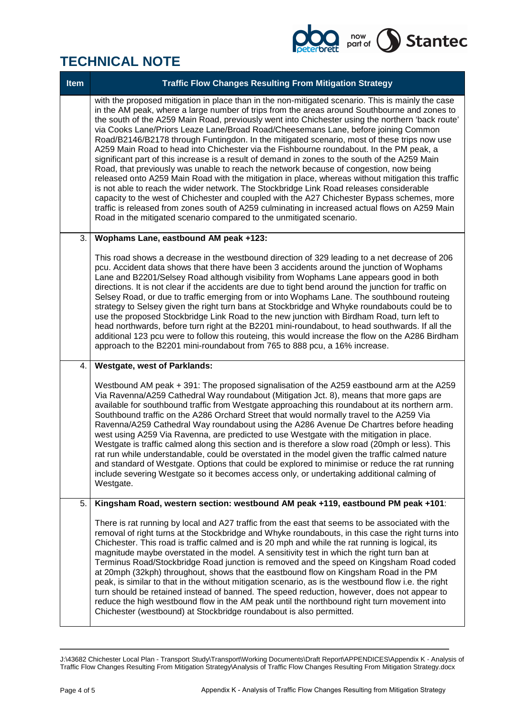

| <b>Item</b> | <b>Traffic Flow Changes Resulting From Mitigation Strategy</b>                                                                                                                                                                                                                                                                                                                                                                                                                                                                                                                                                                                                                                                                                                                                                                                                                                                                                                                                                                                                                                                                                                                                                                                               |
|-------------|--------------------------------------------------------------------------------------------------------------------------------------------------------------------------------------------------------------------------------------------------------------------------------------------------------------------------------------------------------------------------------------------------------------------------------------------------------------------------------------------------------------------------------------------------------------------------------------------------------------------------------------------------------------------------------------------------------------------------------------------------------------------------------------------------------------------------------------------------------------------------------------------------------------------------------------------------------------------------------------------------------------------------------------------------------------------------------------------------------------------------------------------------------------------------------------------------------------------------------------------------------------|
|             | with the proposed mitigation in place than in the non-mitigated scenario. This is mainly the case<br>in the AM peak, where a large number of trips from the areas around Southbourne and zones to<br>the south of the A259 Main Road, previously went into Chichester using the northern 'back route'<br>via Cooks Lane/Priors Leaze Lane/Broad Road/Cheesemans Lane, before joining Common<br>Road/B2146/B2178 through Funtingdon. In the mitigated scenario, most of these trips now use<br>A259 Main Road to head into Chichester via the Fishbourne roundabout. In the PM peak, a<br>significant part of this increase is a result of demand in zones to the south of the A259 Main<br>Road, that previously was unable to reach the network because of congestion, now being<br>released onto A259 Main Road with the mitigation in place, whereas without mitigation this traffic<br>is not able to reach the wider network. The Stockbridge Link Road releases considerable<br>capacity to the west of Chichester and coupled with the A27 Chichester Bypass schemes, more<br>traffic is released from zones south of A259 culminating in increased actual flows on A259 Main<br>Road in the mitigated scenario compared to the unmitigated scenario. |
| 3.          | Wophams Lane, eastbound AM peak +123:                                                                                                                                                                                                                                                                                                                                                                                                                                                                                                                                                                                                                                                                                                                                                                                                                                                                                                                                                                                                                                                                                                                                                                                                                        |
|             | This road shows a decrease in the westbound direction of 329 leading to a net decrease of 206<br>pcu. Accident data shows that there have been 3 accidents around the junction of Wophams<br>Lane and B2201/Selsey Road although visibility from Wophams Lane appears good in both<br>directions. It is not clear if the accidents are due to tight bend around the junction for traffic on<br>Selsey Road, or due to traffic emerging from or into Wophams Lane. The southbound routeing<br>strategy to Selsey given the right turn bans at Stockbridge and Whyke roundabouts could be to<br>use the proposed Stockbridge Link Road to the new junction with Birdham Road, turn left to<br>head northwards, before turn right at the B2201 mini-roundabout, to head southwards. If all the<br>additional 123 pcu were to follow this routeing, this would increase the flow on the A286 Birdham<br>approach to the B2201 mini-roundabout from 765 to 888 pcu, a 16% increase.                                                                                                                                                                                                                                                                               |
| 4.          | <b>Westgate, west of Parklands:</b>                                                                                                                                                                                                                                                                                                                                                                                                                                                                                                                                                                                                                                                                                                                                                                                                                                                                                                                                                                                                                                                                                                                                                                                                                          |
|             | Westbound AM peak + 391: The proposed signalisation of the A259 eastbound arm at the A259<br>Via Ravenna/A259 Cathedral Way roundabout (Mitigation Jct. 8), means that more gaps are<br>available for southbound traffic from Westgate approaching this roundabout at its northern arm.<br>Southbound traffic on the A286 Orchard Street that would normally travel to the A259 Via<br>Ravenna/A259 Cathedral Way roundabout using the A286 Avenue De Chartres before heading<br>west using A259 Via Ravenna, are predicted to use Westgate with the mitigation in place.<br>Westgate is traffic calmed along this section and is therefore a slow road (20mph or less). This<br>rat run while understandable, could be overstated in the model given the traffic calmed nature<br>and standard of Westgate. Options that could be explored to minimise or reduce the rat running<br>include severing Westgate so it becomes access only, or undertaking additional calming of<br>Westgate.                                                                                                                                                                                                                                                                  |
| 5.          | Kingsham Road, western section: westbound AM peak +119, eastbound PM peak +101:                                                                                                                                                                                                                                                                                                                                                                                                                                                                                                                                                                                                                                                                                                                                                                                                                                                                                                                                                                                                                                                                                                                                                                              |
|             | There is rat running by local and A27 traffic from the east that seems to be associated with the<br>removal of right turns at the Stockbridge and Whyke roundabouts, in this case the right turns into<br>Chichester. This road is traffic calmed and is 20 mph and while the rat running is logical, its<br>magnitude maybe overstated in the model. A sensitivity test in which the right turn ban at<br>Terminus Road/Stockbridge Road junction is removed and the speed on Kingsham Road coded<br>at 20mph (32kph) throughout, shows that the eastbound flow on Kingsham Road in the PM<br>peak, is similar to that in the without mitigation scenario, as is the westbound flow i.e. the right<br>turn should be retained instead of banned. The speed reduction, however, does not appear to<br>reduce the high westbound flow in the AM peak until the northbound right turn movement into<br>Chichester (westbound) at Stockbridge roundabout is also permitted.                                                                                                                                                                                                                                                                                     |

J:\43682 Chichester Local Plan - Transport Study\Transport\Working Documents\Draft Report\APPENDICES\Appendix K - Analysis of Traffic Flow Changes Resulting From Mitigation Strategy\Analysis of Traffic Flow Changes Resulting From Mitigation Strategy.docx